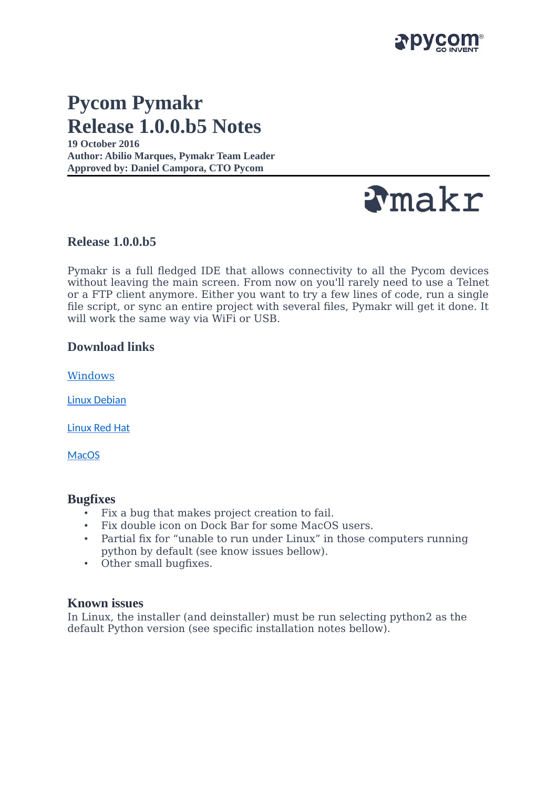

# **Pycom Pymakr Release 1.0.0.b5 Notes**

**19 October 2016 Author: Abilio Marques, Pymakr Team Leader Approved by: Daniel Campora, CTO Pycom**



**Release 1.0.0.b5**

Pymakr is a full fledged IDE that allows connectivity to all the Pycom devices without leaving the main screen. From now on you'll rarely need to use a Telnet or a FTP client anymore. Either you want to try a few lines of code, run a single file script, or sync an entire project with several files, Pymakr will get it done. It will work the same way via WiFi or USB.

# **Download links**

[Windows](https://software.pycom.io/downloads/pymakr_setup_1.0.0.b5.exe)

[Linux Debian](https://software.pycom.io/downloads/pymakr_1.0.0.b5-1_all.deb)

[Linux Red Hat](https://software.pycom.io/downloads/pymakr-1.0.0.b5-1.noarch.rpm)

**[MacOS](https://software.pycom.io/downloads/pymakr_setup_1.0.0.b5.dmg)** 

#### **Bugfixes**

- Fix a bug that makes project creation to fail.
- Fix double icon on Dock Bar for some MacOS users.
- Partial fix for "unable to run under Linux" in those computers running python by default (see know issues bellow).
- Other small bugfixes.

## **Known issues**

In Linux, the installer (and deinstaller) must be run selecting python2 as the default Python version (see specific installation notes bellow).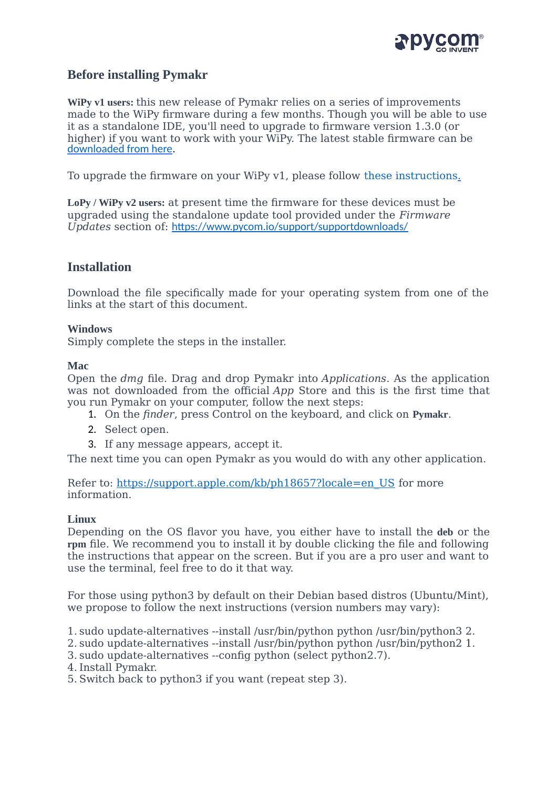

# **Before installing Pymakr**

**WiPy v1 users:** this new release of Pymakr relies on a series of improvements made to the WiPy firmware during a few months. Though you will be able to use it as a standalone IDE, you'll need to upgrade to firmware version 1.3.0 (or higher) if you want to work with your WiPy. The latest stable firmware can be [downloaded from here.](https://software.pycom.io/findupgrade?product=wipy&type=stable&platform=wipy%20with%20cc3200&redirect=true)

To upgrade the firmware on your WiPy v1, please follow [these instructions](https://docs.pycom.io/wipy/wipy/general.html?highlight=update#upgrading-the-firmware-over-the-air).

**LoPy / WiPy v2 users:** at present time the firmware for these devices must be upgraded using the standalone update tool provided under the *Firmware Updates* section of: <https://www.pycom.io/support/supportdownloads/>

# **Installation**

Download the file specifically made for your operating system from one of the links at the start of this document.

#### **Windows**

Simply complete the steps in the installer.

#### **Mac**

Open the *dmg* file. Drag and drop Pymakr into *Applications*. As the application was not downloaded from the official *App* Store and this is the first time that you run Pymakr on your computer, follow the next steps:

- 1. On the *finder*, press Control on the keyboard, and click on **Pymakr**.
- 2. Select open.
- 3. If any message appears, accept it.

The next time you can open Pymakr as you would do with any other application.

Refer to: [https://support.apple.com/kb/ph18657?locale=en\\_US](https://support.apple.com/kb/ph18657?locale=en_US) for more information.

#### **Linux**

Depending on the OS flavor you have, you either have to install the **deb** or the **rpm** file. We recommend you to install it by double clicking the file and following the instructions that appear on the screen. But if you are a pro user and want to use the terminal, feel free to do it that way.

For those using python3 by default on their Debian based distros (Ubuntu/Mint), we propose to follow the next instructions (version numbers may vary):

1. sudo update-alternatives --install /usr/bin/python python /usr/bin/python3 2.

2. sudo update-alternatives --install /usr/bin/python python /usr/bin/python2 1.

3. sudo update-alternatives --config python (select python2.7).

4.Install Pymakr.

5. Switch back to python3 if you want (repeat step 3).